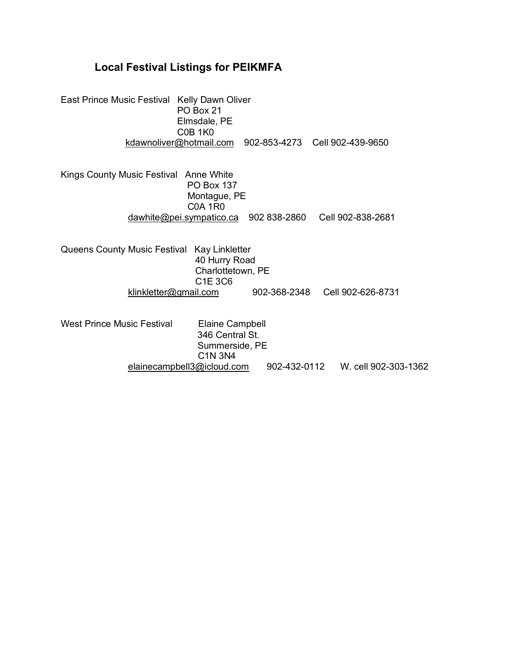## **Local Festival Listings for PEIKMFA**

East Prince Music Festival Kelly Dawn Oliver PO Box 21 Elmsdale, PE C0B 1K0 [kdawnoliver@hotmail.com](mailto:kdawnoliver@hotmail.com) 902-853-4273 Cell 902-439-9650

Kings County Music Festival Anne White PO Box 137 Montague, PE C0A 1R0 [dawhite@pei.sympatico.ca](mailto:dawhite@pei.sympatico.ca) 902 838-2860 Cell 902-838-2681

Queens County Music Festival Kay Linkletter 40 Hurry Road Charlottetown, PE C1E 3C6<br>klinkletter@gmail.com 902-368-2348 Cell 902-626-8731

West Prince Music Festival Elaine Campbell 346 Central St. Summerside, PE C1N 3N4<br>elainecampbell3@icloud.com 902-432-0112 W. cell 902-303-1362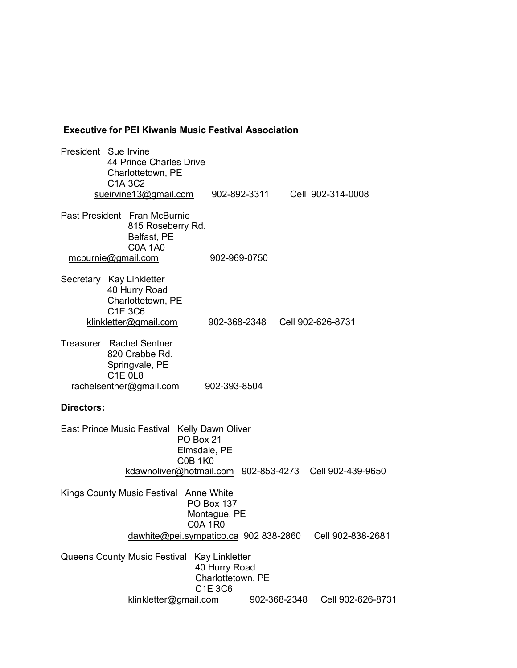## **Executive for PEI Kiwanis Music Festival Association**

President Sue Irvine 44 Prince Charles Drive Charlottetown, PE C1A 3C2 [sueirvine13@gmail.com](mailto:sueirvine13@gmail.com) 902-892-3311 Cell 902-314-0008 Past President Fran McBurnie 815 Roseberry Rd. Belfast, PE C0A 1A0 [mcburnie@gmail.com](mailto:mcburnie@gmail.com) 902-969-0750 Secretary Kay Linkletter 40 Hurry Road Charlottetown, PE C1E 3C6 [klinkletter@gmail.com](mailto:klinkletter@gmail.com) 902-368-2348 Cell 902-626-8731 Treasurer Rachel Sentner 820 Crabbe Rd. Springvale, PE C1E 0L8 [rachelsentner@gmail.com](mailto:rachelsentner@gmail.com) 902-393-8504 **Directors:** East Prince Music Festival Kelly Dawn Oliver PO Box 21 Elmsdale, PE C0B 1K0 [kdawnoliver@hotmail.com](mailto:kdawnoliver@hotmail.com) 902-853-4273 Cell 902-439-9650 Kings County Music Festival Anne White PO Box 137 Montague, PE C0A 1R0 [dawhite@pei.sympatico.ca](mailto:dawhite@pei.sympatico.ca) 902 838-2860 Cell 902-838-2681 Queens County Music Festival Kay Linkletter 40 Hurry Road Charlottetown, PE C1E 3C6 [klinkletter@gmail.com](mailto:klinkletter@gmail.com) 902-368-2348 Cell 902-626-8731